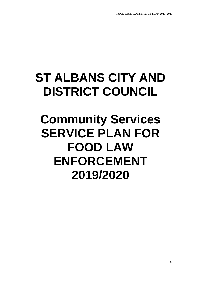# **ST ALBANS CITY AND DISTRICT COUNCIL**

## **Community Services SERVICE PLAN FOR FOOD LAW ENFORCEMENT 2019/2020**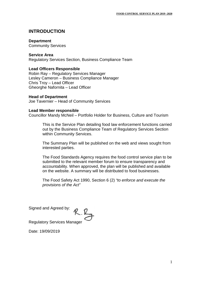## **INTRODUCTION**

#### **Department**

Community Services

#### **Service Area**

Regulatory Services Section, Business Compliance Team

#### **Lead Officers Responsible**

Robin Ray – Regulatory Services Manager Lesley Cameron – Business Compliance Manager Chris Troy – Lead Officer Gheorghe Nafornita – Lead Officer

#### **Head of Department**

Joe Tavernier – Head of Community Services

#### **Lead Member responsible**

Councillor Mandy McNeil – Portfolio Holder for Business, Culture and Tourism

This is the Service Plan detailing food law enforcement functions carried out by the Business Compliance Team of Regulatory Services Section within Community Services.

The Summary Plan will be published on the web and views sought from interested parties.

The Food Standards Agency requires the food control service plan to be submitted to the relevant member forum to ensure transparency and accountability. When approved, the plan will be published and available on the website. A summary will be distributed to food businesses.

The Food Safety Act 1990, Section 6 (2) *"to enforce and execute the provisions of the Act"*

Signed and Agreed by:

Regulatory Services Manager

Date: 19/09/2019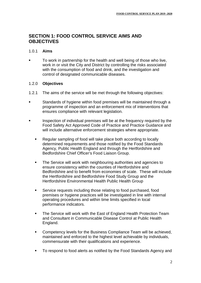## **SECTION 1: FOOD CONTROL SERVICE AIMS AND OBJECTIVES**

#### 1.0.1 **Aims**

 To work in partnership for the health and well being of those who live, work in or visit the City and District by controlling the risks associated with the consumption of food and drink, and the investigation and control of designated communicable diseases.

#### 1.2.0 **Objectives**

- 1.2.1 The aims of the service will be met through the following objectives:
- Standards of hygiene within food premises will be maintained through a programme of inspection and an enforcement mix of interventions that ensures compliance with relevant legislation.
- Inspection of individual premises will be at the frequency required by the Food Safety Act Approved Code of Practice and Practice Guidance and will include alternative enforcement strategies where appropriate.
	- Regular sampling of food will take place both according to locally determined requirements and those notified by the Food Standards Agency, Public Health England and through the Hertfordshire and Bedfordshire Chief Officer's Food Liaison Group.
	- **The Service will work with neighbouring authorities and agencies to** ensure consistency within the counties of Hertfordshire and Bedfordshire and to benefit from economies of scale. These will include the Hertfordshire and Bedfordshire Food Study Group and the Hertfordshire Environmental Health Public Health Group
	- **Service requests including those relating to food purchased, food** premises or hygiene practices will be investigated in line with internal operating procedures and within time limits specified in local performance indicators.
	- **The Service will work with the East of England Health Protection Team** and Consultant in Communicable Disease Control at Public Health England.
	- **EXECOMPERENCY COMPETERS** Compliance Team will be achieved, maintained and enforced to the highest level achievable by individuals, commensurate with their qualifications and experience.
	- To respond to food alerts as notified by the Food Standards Agency and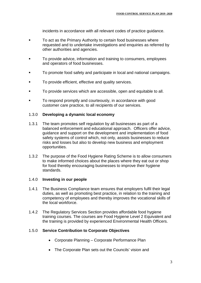incidents in accordance with all relevant codes of practice guidance.

- To act as the Primary Authority to certain food businesses where requested and to undertake investigations and enquiries as referred by other authorities and agencies.
- To provide advice, information and training to consumers, employees and operators of food businesses.
- To promote food safety and participate in local and national campaigns.
- To provide efficient, effective and quality services.
- To provide services which are accessible, open and equitable to all.
- To respond promptly and courteously, in accordance with good customer care practice, to all recipients of our services.

#### 1.3.0 **Developing a dynamic local economy**

- 1.3.1 The team promotes self regulation by all businesses as part of a balanced enforcement and educational approach. Officers offer advice, guidance and support on the development and implementation of food safety systems of control which, not only, assists businesses to reduce risks and losses but also to develop new business and employment opportunities.
- 1.3.2 The purpose of the Food Hygiene Rating Scheme is to allow consumers to make informed choices about the places where they eat out or shop for food thereby encouraging businesses to improve their hygiene standards.

#### 1.4.0 **Investing in our people**

- 1.4.1 The Business Compliance team ensures that employers fulfil their legal duties, as well as promoting best practice, in relation to the training and competency of employees and thereby improves the vocational skills of the local workforce.
- 1.4.2 The Regulatory Services Section provides affordable food hygiene training courses. The courses are Food Hygiene Level 2 Equivalent and the training is provided by experienced Environmental Health Officers.

#### 1.5.0 **Service Contribution to Corporate Objectives**

- Corporate Planning Corporate Performance Plan
- The Corporate Plan sets out the Councils' vision and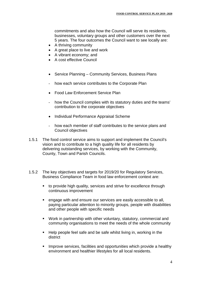commitments and also how the Council will serve its residents, businesses, voluntary groups and other customers over the next 5 years. The four outcomes the Council want to see locally are:

- A thriving community
- A great place to live and work
- A vibrant economy: and
- A cost effective Council
- Service Planning Community Services, Business Plans
- how each service contributes to the Corporate Plan
- Food Law Enforcement Service Plan
- how the Council complies with its statutory duties and the teams' contribution to the corporate objectives
- Individual Performance Appraisal Scheme
- how each member of staff contributes to the service plans and Council objectives
- 1.5.1 The food control service aims to support and implement the Council's vision and to contribute to a high quality life for all residents by delivering outstanding services, by working with the Community, County, Town and Parish Councils.
- 1.5.2 The key objectives and targets for 2019/20 for Regulatory Services, Business Compliance Team in food law enforcement context are:
	- to provide high quality, services and strive for excellence through continuous improvement
	- engage with and ensure our services are easily accessible to all, paying particular attention to minority groups, people with disabilities and other people with specific needs
	- Work in partnership with other voluntary, statutory, commercial and community organisations to meet the needs of the whole community
	- Help people feel safe and be safe whilst living in, working in the district
	- Improve services, facilities and opportunities which provide a healthy environment and healthier lifestyles for all local residents.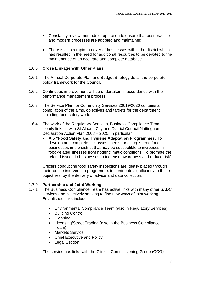- Constantly review methods of operation to ensure that best practice and modern processes are adopted and maintained.
- There is also a rapid turnover of businesses within the district which has resulted in the need for additional resources to be devoted to the maintenance of an accurate and complete database.

#### 1.6.0 **Cross Linkage with Other Plans**

- 1.6.1 The Annual Corporate Plan and Budget Strategy detail the corporate policy framework for the Council.
- 1.6.2 Continuous improvement will be undertaken in accordance with the performance management process.
- 1.6.3 The Service Plan for Community Services 20019/2020 contains a compilation of the aims, objectives and targets for the department including food safety work.
- 1.6.4 The work of the Regulatory Services, Business Compliance Team clearly links in with St Albans City and District Council Nottingham Declaration Action Plan 2008 – 2025. In particular;
	- **A.5 "Food Safety and Hygiene Adaptation Programmes:** To develop and complete risk assessments for all registered food businesses in the district that may be susceptible to increases in food-related illnesses from hotter climatic conditions. To promote the related issues to businesses to increase awareness and reduce risk"

Officers conducting food safety inspections are ideally placed through their routine intervention programme, to contribute significantly to these objectives, by the delivery of advice and data collection.

#### 1.7.0 **Partnership and Joint Working**

- 1.7.1 The Business Compliance Team has active links with many other SADC services and is actively seeking to find new ways of joint working. Established links include;
	- Environmental Compliance Team (also in Regulatory Services)
	- Building Control
	- Planning
	- Licensing/Street Trading (also in the Business Compliance Team)
	- Markets Service
	- Chief Executive and Policy
	- Legal Section

The service has links with the Clinical Commissioning Group (CCG),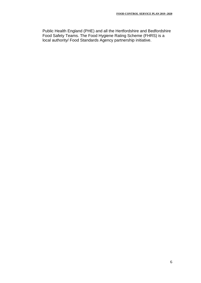Public Health England (PHE) and all the Hertfordshire and Bedfordshire Food Safety Teams. The Food Hygiene Rating Scheme (FHRS) is a local authority/ Food Standards Agency partnership initiative.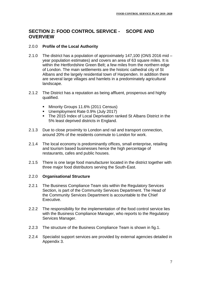### **SECTION 2: FOOD CONTROL SERVICE - SCOPE AND OVERVIEW**

#### 2.0.0 **Profile of the Local Authority**

- 2.1.0 The district has a population of approximately 147,100 (ONS 2016 mid year population estimates) and covers an area of 63 square miles. It is within the Hertfordshire Green Belt; a few miles from the northern edge of London. The main settlements are the historic cathedral city of St Albans and the largely residential town of Harpenden. In addition there are several large villages and hamlets in a predominately agricultural landscape.
- 2.1.2 The District has a reputation as being affluent, prosperous and highly qualified.
	- Minority Groups 11.6% (2011 Census)
	- Unemployment Rate 0.9% (July 2017)
	- The 2015 Index of Local Deprivation ranked St Albans District in the 5% least deprived districts in England.
- 2.1.3 Due to close proximity to London and rail and transport connection, around 20% of the residents commute to London for work.
- 2.1.4 The local economy is predominantly offices, small enterprise, retailing and tourism based businesses hence the high percentage of restaurants, cafes and public houses.
- 2.1.5 There is one large food manufacturer located in the district together with three major food distributors serving the South-East.

#### 2.2.0 **Organisational Structure**

- 2.2.1 The Business Compliance Team sits within the Regulatory Services Section, is part of the Community Services Department. The Head of the Community Services Department is accountable to the Chief Executive.
- 2.2.2 The responsibility for the implementation of the food control service lies with the Business Compliance Manager, who reports to the Regulatory Services Manager.
- 2.2.3 The structure of the Business Compliance Team is shown in fig.1.
- 2.2.4 Specialist support services are provided by external agencies detailed in Appendix 3.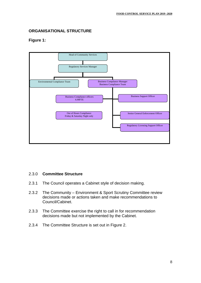### **ORGANISATIONAL STRUCTURE**

#### **Figure 1:**



#### 2.3.0 **Committee Structure**

- 2.3.1 The Council operates a Cabinet style of decision making.
- 2.3.2 The Community Environment & Sport Scrutiny Committee review decisions made or actions taken and make recommendations to Council/Cabinet.
- 2.3.3 The Committee exercise the right to call in for recommendation decisions made but not implemented by the Cabinet.
- 2.3.4 The Committee Structure is set out in Figure 2.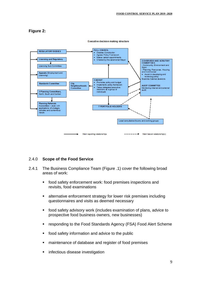#### **Figure 2:**



**Executive decision making structure** 

#### 2.4.0 **Scope of the Food Service**

- 2.4.1 The Business Compliance Team (Figure .1) cover the following broad areas of work:
	- food safety enforcement work: food premises inspections and revisits, food examinations
	- alternative enforcement strategy for lower risk premises including questionnaires and visits as deemed necessary
	- food safety advisory work (includes examination of plans, advice to prospective food business owners, new businesses)
	- **F** responding to the Food Standards Agency (FSA) Food Alert Scheme
	- **field** food safety information and advice to the public
	- maintenance of database and register of food premises
	- infectious disease investigation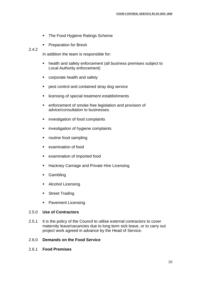- The Food Hygiene Ratings Scheme
- Preparation for Brexit

#### 2.4.2

In addition the team is responsible for:

- health and safety enforcement (all business premises subject to Local Authority enforcement)
- **•** corporate health and safety
- **Parable 2** pest control and contained stray dog service
- licensing of special treatment establishments
- enforcement of smoke free legislation and provision of advice/consultation to businesses.
- **EXECUTE:** investigation of food complaints
- **EXEC** investigation of hygiene complaints
- routine food sampling
- **EXamination of food**
- examination of imported food
- **Hackney Carriage and Private Hire Licensing**
- **Gambling**
- **Alcohol Licensing**
- **Street Trading**
- Pavement Licensing

#### 2.5.0 **Use of Contractors**

2.5.1 It is the policy of the Council to utilise external contractors to cover maternity leave/vacancies due to long term sick leave, or to carry out project work agreed in advance by the Head of Service.

#### 2.6.0 **Demands on the Food Service**

2.6.1 **Food Premises**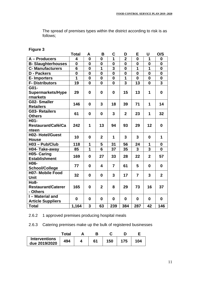The spread of premises types within the district according to risk is as follows;

| Fiaure |  |
|--------|--|
|        |  |

|                           | <b>Total</b>    | A                | B                       | C              | D                       | E                       | U                       | O/S                     |
|---------------------------|-----------------|------------------|-------------------------|----------------|-------------------------|-------------------------|-------------------------|-------------------------|
| A - Producers             | 4               | $\bf{0}$         | $\mathbf{0}$            | 1              | $\overline{2}$          | 0                       | 1                       | $\mathbf{0}$            |
| <b>B-Slaughterhouses</b>  | $\bf{0}$        | $\bf{0}$         | $\bf{0}$                | $\bf{0}$       | $\bf{0}$                | $\bf{0}$                | $\mathbf 0$             | $\mathbf 0$             |
| <b>C-Manufacturers</b>    | $6\phantom{1}6$ | $\boldsymbol{0}$ | $\overline{\mathbf{1}}$ | 3              | $\bf{0}$                | $\overline{\mathbf{1}}$ | $\overline{1}$          | $\mathbf 0$             |
| <b>D</b> - Packers        | $\bf{0}$        | $\bf{0}$         | $\bf{0}$                | $\bf{0}$       | $\bf{0}$                | $\bf{0}$                | $\mathbf 0$             | $\bf{0}$                |
| <b>E-Importers</b>        | 1               | $\bf{0}$         | $\bf{0}$                | $\mathbf 0$    | 1                       | $\mathbf{0}$            | $\mathbf 0$             | $\mathbf 0$             |
| <b>F-Distributors</b>     | 19              | $\mathbf 0$      | $\bf{0}$                | $\bf{0}$       | $\overline{\mathbf{3}}$ | 13                      | $\mathbf 0$             | $\overline{\mathbf{3}}$ |
| G01-                      |                 |                  |                         |                |                         |                         |                         |                         |
| <b>Supermarkets/Hype</b>  | 29              | $\bf{0}$         | $\mathbf 0$             | $\mathbf 0$    | 15                      | 13                      | 1                       | $\mathbf 0$             |
| rmarkets                  |                 |                  |                         |                |                         |                         |                         |                         |
| <b>G02-Smaller</b>        | 146             | $\bf{0}$         | $\overline{3}$          | 18             | 39                      | 71                      | 1                       | 14                      |
| <b>Retailers</b>          |                 |                  |                         |                |                         |                         |                         |                         |
| <b>G03-Retailers</b>      | 61              | $\bf{0}$         | $\mathbf 0$             | 3              | $\overline{2}$          | 23                      | 1                       | 32                      |
| <b>Others</b>             |                 |                  |                         |                |                         |                         |                         |                         |
| H01-                      |                 |                  |                         |                |                         |                         |                         |                         |
| <b>Restaurant/Café/Ca</b> | 242             | 1                | 13                      | 94             | 93                      | 29                      | 12                      | $\mathbf 0$             |
| nteen                     |                 |                  |                         |                |                         |                         |                         |                         |
| <b>H02- Hotel/Guest</b>   | 10              | $\bf{0}$         | $\mathbf{2}$            | 1              | 3                       | 3                       | $\mathbf{0}$            | 1                       |
| <b>House</b>              |                 |                  |                         |                |                         |                         |                         |                         |
| H03 - Pub/Club            | 118             | 1                | 5                       | 31             | 56                      | 24                      | 1                       | $\boldsymbol{0}$        |
| H04- Take-away            | 85              | $\overline{1}$   | 6                       | 37             | 35                      | 3                       | $\overline{\mathbf{3}}$ | $\mathbf{0}$            |
| <b>H05- Caring</b>        | 169             | $\bf{0}$         | 27                      | 33             | 28                      | 22                      | $\overline{2}$          | 57                      |
| <b>Establishment</b>      |                 |                  |                         |                |                         |                         |                         |                         |
| H06-                      | 77              | $\bf{0}$         | 4                       | $\overline{7}$ | 61                      | 5                       | $\mathbf{0}$            | $\mathbf{0}$            |
| <b>School/College</b>     |                 |                  |                         |                |                         |                         |                         |                         |
| <b>H07- Mobile Food</b>   | 32              | $\bf{0}$         | $\mathbf{0}$            | 3              | 17                      | $\overline{7}$          | 3                       | $\overline{2}$          |
| <b>Unit</b>               |                 |                  |                         |                |                         |                         |                         |                         |
| <b>Ho8-</b>               |                 |                  |                         |                |                         |                         |                         |                         |
| <b>Restaurant/Caterer</b> | 165             | $\bf{0}$         | $\overline{2}$          | 8              | 29                      | 73                      | 16                      | 37                      |
| - Others                  |                 |                  |                         |                |                         |                         |                         |                         |
| I - Material and          | $\bf{0}$        | $\bf{0}$         | $\mathbf 0$             | $\mathbf 0$    | $\bf{0}$                | 0                       | $\mathbf{0}$            | $\mathbf 0$             |
| <b>Article Suppliers</b>  |                 |                  |                         |                |                         |                         |                         |                         |
| <b>Total</b>              | 1,164           | 3                | 63                      | 239            | 384                     | 287                     | 42                      | 146                     |

2.6.2 1 approved premises producing hospital meals

2.6.3 Catering premises make up the bulk of registered businesses

|                                       | Гоtal |    |     |     |
|---------------------------------------|-------|----|-----|-----|
| <b>Interventions</b><br>due 2019/2020 | 494   | 61 | 150 | 104 |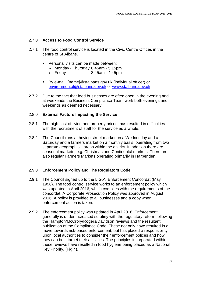#### 2.7.0 **Access to Food Control Service**

- 2.7.1 The food control service is located in the Civic Centre Offices in the centre of St Albans.
	- Personal visits can be made between:
		- Monday Thursday 8.45am 5.15pm
		- $\div$  Friday 8.45am 4.45pm
	- By e-mail: [name]@stalbans.gov.uk (individual officer) or [environmental@stalbans.gov.uk](mailto:environmental@stalbans.gov.uk) or [www.stalbans.gov.uk](http://www.stalbans.gov.uk/)
- 2.7.2 Due to the fact that food businesses are often open in the evening and at weekends the Business Compliance Team work both evenings and weekends as deemed necessary.

#### 2.8.0 **External Factors Impacting the Service**

- 2.8.1 The high cost of living and property prices, has resulted in difficulties with the recruitment of staff for the service as a whole.
- 2.8.2 The Council runs a thriving street market on a Wednesday and a Saturday and a farmers market on a monthly basis, operating from two separate geographical areas within the district. In addition there are seasonal markets, e.g. Christmas and Continental markets. There are also regular Farmers Markets operating primarily in Harpenden.

#### 2.9.0 **Enforcement Policy and The Regulators Code**

- 2.9.1 The Council signed up to the L.G.A. Enforcement Concordat (May 1998). The food control service works to an enforcement policy which was updated in April 2016, which complies with the requirements of the concordat. A Corporate Prosecution Policy was approved in August 2016. A policy is provided to all businesses and a copy when enforcement action is taken.
- 2.9.2 The enforcement policy was updated in April 2016. Enforcement generally is under increased scrutiny with the regulatory reform following the Hampton/McCrory/Rogers/Davidson reviews and the resultant publication of the Compliance Code. These not only have resulted in a move towards risk-based enforcement, but has placed a responsibility upon local authorities to consider their enforcement polices and how they can best target their activities. The principles incorporated within these reviews have resulted in food hygiene being placed as a National Key Priority, (Fig 4).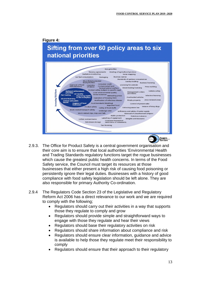

- 2.9.3. The Office for Product Safety is a central government organisation and their core aim is to ensure that local authorities 'Environmental Health and Trading Standards regulatory functions target the rogue businesses which cause the greatest public health concerns. In terms of the Food Safety service, the Council must target its resources at those businesses that either present a high risk of causing food poisoning or persistently ignore their legal duties. Businesses with a history of good compliance with food safety legislation should be left alone. They are also responsible for primary Authority Co-ordination.
- 2.9.4 The Regulators Code Section 23 of the Legislative and Regulatory Reform Act 2006 has a direct relevance to our work and we are required to comply with the following;
	- Regulators should carry out their activities in a way that supports those they regulate to comply and grow
	- Regulators should provide simple and straightforward ways to engage with those they regulate and hear their views
	- Regulators should base their regulatory activities on risk
	- Regulators should share information about compliance and risk
	- Regulators should ensure clear information, guidance and advice is available to help those they regulate meet their responsibility to comply
	- Regulators should ensure that their approach to their regulatory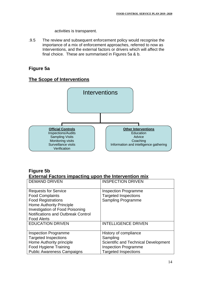activities is transparent.

.9.5 The review and subsequent enforcement policy would recognise the importance of a mix of enforcement approaches, referred to now as Interventions, and the external factors or drivers which will affect the final choice. These are summarised in Figures 5a & b.

## **Figure 5a**

## **The Scope of Interventions**



## **Figure 5b External Factors impacting upon the Intervention mix**

| <b>DEMAND DRIVEN</b>               | <b>INSPECTION DRIVEN</b>                    |
|------------------------------------|---------------------------------------------|
| <b>Requests for Service</b>        | <b>Inspection Programme</b>                 |
| <b>Food Complaints</b>             | <b>Targeted Inspections</b>                 |
| <b>Food Registrations</b>          | <b>Sampling Programme</b>                   |
| <b>Home Authority Principle</b>    |                                             |
| Investigation of Food Poisoning    |                                             |
| Notifications and Outbreak Control |                                             |
| <b>Food Alerts</b>                 |                                             |
| <b>EDUCATION DRIVEN</b>            | <b>INTELLIGENCE DRIVEN</b>                  |
|                                    |                                             |
| <b>Inspection Programme</b>        | History of compliance                       |
| <b>Targeted Inspections</b>        | Sampling                                    |
| Home Authority principle           | <b>Scientific and Technical Development</b> |
| Food Hygiene Training              | <b>Inspection Programme</b>                 |
| <b>Public Awareness Campaigns</b>  | <b>Targeted Inspections</b>                 |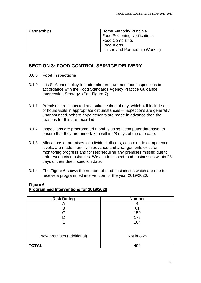| Partnerships | <b>Home Authority Principle</b>     |
|--------------|-------------------------------------|
|              | <b>Food Poisoning Notifications</b> |
|              | <b>Food Complaints</b>              |
|              | <b>Food Alerts</b>                  |
|              | Liaison and Partnership Working     |

## **SECTION 3: FOOD CONTROL SERVICE DELIVERY**

#### 3.0.0 **Food Inspections**

- 3.1.0 It is St Albans policy to undertake programmed food inspections in accordance with the Food Standards Agency Practice Guidance Intervention Strategy. (See Figure 7)
- 3.1.1 Premises are inspected at a suitable time of day, which will include out of hours visits in appropriate circumstances – Inspections are generally unannounced. Where appointments are made in advance then the reasons for this are recorded.
- 3.1.2 Inspections are programmed monthly using a computer database, to ensure that they are undertaken within 28 days of the due date.
- 3.1.3 Allocations of premises to individual officers, according to competence levels, are made monthly in advance and arrangements exist for monitoring progress and for rescheduling any premises missed due to unforeseen circumstances. We aim to inspect food businesses within 28 days of their due inspection date.
- 3.1.4 The Figure 6 shows the number of food businesses which are due to receive a programmed intervention for the year 2019/2020.

## **Figure 6 Programmed Interventions for 2019/2020**

| <b>Risk Rating</b>        | <b>Number</b> |
|---------------------------|---------------|
| Α                         | 4             |
| B                         | 61            |
|                           | 150           |
|                           | 175           |
| E                         | 104           |
| New premises (additional) | Not known     |
|                           |               |
| <b>TOTAL</b>              | 494           |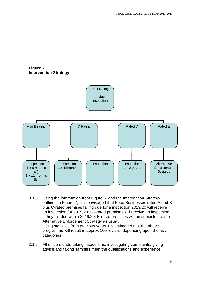#### **Figure 7 Intervention Strategy**



- 3.1.5 Using the information from Figure 6, and the Intervention Strategy outlined in Figure 7; it is envisaged that Food Businesses rated A and B plus C-rated premises falling due for a inspection 2019/20 will receive an inspection for 2019/20. D –rated premises will receive an inspection if they fall due within 2019/20. E-rated premises will be subjected to the Alternative Enforcement Strategy as usual. Using statistics from previous years it is estimated that the above programme will result in approx 100 revisits, depending upon the risk categories
- 3.1.6 All officers undertaking inspections, investigating complaints, giving advice and taking samples meet the qualifications and experience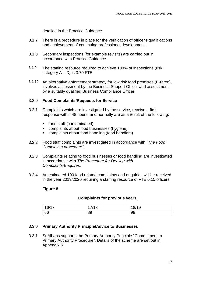detailed in the Practice Guidance.

- 3.1.7 There is a procedure in place for the verification of officer's qualifications and achievement of continuing professional development.
- 3.1.8 Secondary inspections (for example revisits) are carried out in accordance with Practice Guidance.
- 3.1.9 The staffing resource required to achieve 100% of inspections (risk category  $A - D$ ) is 3.70 FTE.
- 3.1.10 An alternative enforcement strategy for low risk food premises (E-rated), involves assessment by the Business Support Officer and assessment by a suitably qualified Business Compliance Officer.

#### 3.2.0 **Food Complaints/Requests for Service**

- 3.2.1 Complaints which are investigated by the service, receive a first response within 48 hours, and normally are as a result of the following:
	- food stuff (contaminated)
	- complaints about food businesses (hygiene)
	- complaints about food handling (food handlers)
- 3.2.2 Food stuff complaints are investigated in accordance with *"The Food Complaints procedure"*.
- 3.2.3 Complaints relating to food businesses or food handling are investigated in accordance with *The Procedure for Dealing with Complaints/Enquires.*
- 3.2.4 An estimated 100 food related complaints and enquiries will be received in the year 2019/2020 requiring a staffing resource of FTE 0.15 officers.

#### **Figure 8**

#### **Complaints for previous years**

| 16/17 | 7/10 | 18/1 |  |
|-------|------|------|--|
| 66    | 89   | 98   |  |

#### 3.3.0 **Primary Authority Principle/Advice to Businesses**

3.3.1 St Albans supports the Primary Authority Principle "Commitment to Primary Authority Procedure". Details of the scheme are set out in Appendix 6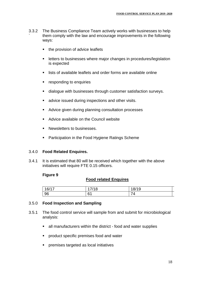- 3.3.2 ` The Business Compliance Team actively works with businesses to help them comply with the law and encourage improvements in the following ways:
	- the provision of advice leaflets
	- **EXECTE:** letters to businesses where major changes in procedures/legislation is expected
	- lists of available leaflets and order forms are available online
	- responding to enquiries
	- dialogue with businesses through customer satisfaction surveys.
	- **advice issued during inspections and other visits.**
	- Advice given during planning consultation processes
	- **Advice available on the Council website**
	- **Newsletters to businesses.**
	- **Participation in the Food Hygiene Ratings Scheme**

#### 3.4.0 **Food Related Enquires.**

3.4.1 It is estimated that 80 will be received which together with the above initiatives will require FTE 0.15 officers.

#### **Figure 9**

#### **Food related Enquires**

| 16/17 | 7/10<br>10 | 8/19<br>$\circ$ |  |
|-------|------------|-----------------|--|
| 96    | 61<br>ັບ 1 | -<br>,,         |  |

#### 3.5.0 **Food Inspection and Sampling**

- 3.5.1 The food control service will sample from and submit for microbiological analysis:
	- all manufacturers within the district food and water supplies
	- product specific premises food and water
	- premises targeted as local initiatives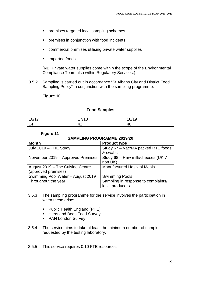- premises targeted local sampling schemes
- **PERITM** premises in conjunction with food incidents
- commercial premises utilising private water supplies
- **Imported foods**

(NB: Private water supplies come within the scope of the Environmental Compliance Team also within Regulatory Services.)

3.5.2 Sampling is carried out in accordance "St Albans City and District Food Sampling Policy" in conjunction with the sampling programme.

#### **Figure 10**

#### **Food Samples**

| 16/17 | 7/18     | 18/19 |
|-------|----------|-------|
| и     | AC<br>−∼ | 46    |

#### **Figure 11**

| <b>SAMPLING PROGRAMME 2019/20</b>                       |                                                        |  |
|---------------------------------------------------------|--------------------------------------------------------|--|
| <b>Month</b>                                            | <b>Product type</b>                                    |  |
| July 2019 - PHE Study                                   | Study 67 - Vac/MA packed RTE foods<br>& swabs          |  |
| November 2019 - Approved Premises                       | Study 68 - Raw milk/cheeses (UK 7<br>non UK)           |  |
| August 2019 - The Cuisine Centre<br>(approved premises) | <b>Manufactured Hospital Meals</b>                     |  |
| Swimming Pool Water - August 2019                       | <b>Swimming Pools</b>                                  |  |
| Throughout the year                                     | Sampling in response to complaints/<br>local producers |  |

- 3.5.3 The sampling programme for the service involves the participation in when these arise:
	- Public Health England (PHE)
	- Herts and Beds Food Survey
	- **PAN London Survey**
- 3.5.4 The service aims to take at least the minimum number of samples requested by the testing laboratory.
- 3.5.5 This service requires 0.10 FTE resources.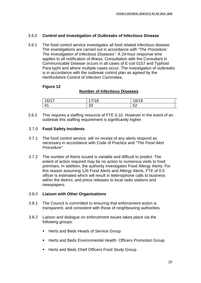#### 3.6.0 **Control and Investigation of Outbreaks of Infectious Disease**

3.6.1 The food control service investigates all food related infectious disease. The investigations are carried out in accordance *with "The Procedure: The Investigation of Infectious Diseases"*. A 24-hour response time applies to all notification of illness. Consultation with the Consultant in Communicable Disease occurs in all cases of E-coli 0157 and Typhoid Para typhi and where multiple cases occur. The investigation of outbreaks is in accordance with the outbreak control plan as agreed by the Hertfordshire Control of Infection Committee.

#### **Figure 12**

#### **Number of Infectious Diseases**

| 16/17                    | 14C          | $\overline{1}$<br>19<br>O/ |  |
|--------------------------|--------------|----------------------------|--|
| $\overline{\phantom{a}}$ | $\sim$<br>ັບ | $E^{\gamma}$<br>◡▵         |  |

3.6.2 This requires a staffing resource of FTE 0.10. However in the event of an outbreak this staffing requirement is significantly higher.

#### 3.7.0 **Food Safety Incidents**

- 3.7.1 The food control service, will on receipt of any alerts respond as necessary in accordance with Code of Practice and "*The Food Alert Procedure*".
- 3.7.2 The number of Alerts issued is variable and difficult to predict. The extent of action required may be no action to numerous visits to food premises. In addition, the authority investigates Food Allergy Alerts. For this reason assuming 126 Food Alerts and Allergy Alerts, FTE of 0.5 officer is estimated which will result in letters/phone calls to business within the district, and press releases to local radio stations and newspapers.

#### 3.8.0 **Liaison with Other Organisations**

- 3.8.1 The Council is committed to ensuring that enforcement action is transparent, and consistent with those of neighbouring authorities.
- 3.8.2 Liaison and dialogue on enforcement issues takes place via the following groups:
	- Herts and Beds Heads of Service Group
	- Herts and Beds Environmental Health Officers Promotion Group
	- Herts and Beds Chief Officers Food Study Group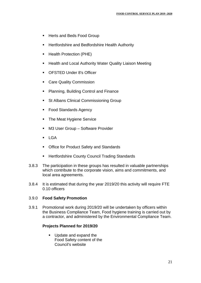- Herts and Beds Food Group
- **Hertfordshire and Bedfordshire Health Authority**
- **Health Protection (PHE)**
- Health and Local Authority Water Quality Liaison Meeting
- **CESTED Under 8's Officer**
- Care Quality Commission
- **Planning, Building Control and Finance**
- **St Albans Clinical Commissioning Group**
- Food Standards Agency
- The Meat Hygiene Service
- M3 User Group Software Provider
- $LGA$
- Office for Product Safety and Standards
- **EXEC** Hertfordshire County Council Trading Standards
- 3.8.3 The participation in these groups has resulted in valuable partnerships which contribute to the corporate vision, aims and commitments, and local area agreements.
- 3.8.4 It is estimated that during the year 2019/20 this activity will require FTE 0.10 officers

#### 3.9.0 **Food Safety Promotion**

3.9.1 Promotional work during 2019/20 will be undertaken by officers within the Business Compliance Team, Food hygiene training is carried out by a contractor, and administered by the Environmental Compliance Team.

#### **Projects Planned for 2019/20**

Update and expand the Food Safety content of the Council's website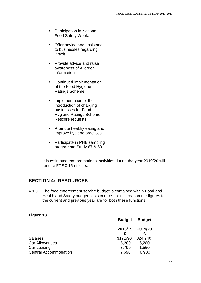- **Participation in National** Food Safety Week.
- Offer advice and assistance to businesses regarding Brexit
- Provide advice and raise awareness of Allergen information
- Continued implementation of the Food Hygiene Ratings Scheme.
- **Implementation of the** introduction of charging businesses for Food Hygiene Ratings Scheme Rescore requests
- **Promote healthy eating and** improve hygiene practices
- Participate in PHE sampling programme Study 67 & 68

It is estimated that promotional activities during the year 2019/20 will require FTE 0.15 officers.

## **SECTION 4: RESOURCES**

4.1.0 The food enforcement service budget is contained within Food and Health and Safety budget costs centres for this reason the figures for the current and previous year are for both these functions.

#### **Figure 13**

|                                             | <b>Budget</b>  | <b>Budget</b>  |
|---------------------------------------------|----------------|----------------|
|                                             | 2018/19        | 2019/20        |
| <b>Salaries</b>                             | 317,590        | 324,240        |
| Car Allowances                              | 6,280          | 6,280          |
| Car Leasing<br><b>Central Accommodation</b> | 3,790<br>7,690 | 1,550<br>6,900 |
|                                             |                |                |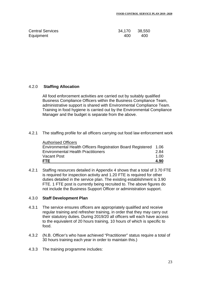| <b>Central Services</b> | 34,170 38,550 |      |
|-------------------------|---------------|------|
| Equipment               | 400           | -400 |

#### 4.2.0 **Staffing Allocation**

All food enforcement activities are carried out by suitably qualified Business Compliance Officers within the Business Compliance Team, administrative support is shared with Environmental Compliance Team. Training in food hygiene is carried out by the Environmental Compliance Manager and the budget is separate from the above.

4.2.1 The staffing profile for all officers carrying out food law enforcement work

| <b>FTE</b>                                                       | 4.90 |
|------------------------------------------------------------------|------|
| <b>Vacant Post</b>                                               | 1 QQ |
| <b>Environmental Health Practitioners</b>                        | 2.84 |
| Environmental Health Officers Registration Board Registered 1.06 |      |
| <b>Authorised Officers</b>                                       |      |

4.2.1 Staffing resources detailed in Appendix 4 shows that a total of 3.70 FTE is required for inspection activity and 1.20 FTE is required for other duties detailed in the service plan. The existing establishment is 3.90 FTE. 1 FTE post is currently being recruited to. The above figures do not include the Business Support Officer or administration support.

#### 4.3.0 **Staff Development Plan**

- 4.3.1 The service ensures officers are appropriately qualified and receive regular training and refresher training, in order that they may carry out their statutory duties. During 2019/20 all officers will each have access to the equivalent of 20 hours training, 10 hours of which is specific to food.
- 4.3.2 (N.B. Officer's who have achieved "Practitioner" status require a total of 30 hours training each year in order to maintain this.)
- 4.3.3 The training programme includes: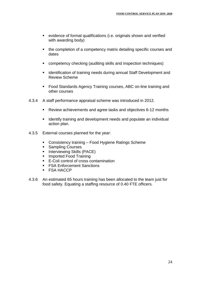- evidence of formal qualifications (i.e. originals shown and verified with awarding body)
- the completion of a competency matrix detailing specific courses and dates
- competency checking (auditing skills and inspection techniques)
- **EXEDENT** identification of training needs during annual Staff Development and Review Scheme
- **Food Standards Agency Training courses, ABC on-line training and** other courses
- 4.3.4 A staff performance appraisal scheme was introduced in 2012.
	- Review achievements and agree tasks and objectives 6-12 months
	- **I** Identify training and development needs and populate an individual action plan.
- 4.3.5 External courses planned for the year:
	- Consistency training Food Hygiene Ratings Scheme
	- Sampling Courses
	- **Interviewing Skills (PACE)**
	- **Imported Food Training**
	- E-Coli control of cross contamination
	- **FSA Enforcement Sanctions**
	- **FSA HACCP**
- 4.3.6 An estimated 65 hours training has been allocated to the team just for food safety. Equating a staffing resource of 0.40 FTE officers.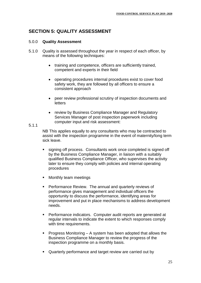## **SECTION 5: QUALITY ASSESSMENT**

#### 5.0.0 **Quality Assessment**

- 5.1.0 Quality is assessed throughout the year in respect of each officer, by means of the following techniques:
	- training and competence, officers are sufficiently trained, competent and experts in their field
	- operating procedures internal procedures exist to cover food safety work, they are followed by all officers to ensure a consistent approach
	- peer review professional scrutiny of inspection documents and letters
	- review by Business Compliance Manager and Regulatory Services Manager of post inspection paperwork including computer input and risk assessment:

#### 5.1.1

NB This applies equally to any consultants who may be contracted to assist with the inspection programme in the event of maternity/long term sick leave.

- signing off process. Consultants work once completed is signed off by the Business Compliance Manager, in liaison with a suitably qualified Business Compliance Officer, who supervises the activity later to ensure they comply with policies and internal operating procedures
- Monthly team meetings
- Performance Review. The annual and quarterly reviews of performance gives management and individual officers the opportunity to discuss the performance, identifying areas for improvement and put in place mechanisms to address development needs.
- Performance indicators. Computer audit reports are generated at regular intervals to indicate the extent to which responses comply with time requirements.
- Progress Monitoring A system has been adopted that allows the Business Compliance Manager to review the progress of the inspection programme on a monthly basis.
- Quarterly performance and target review are carried out by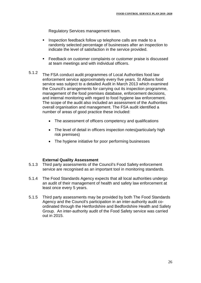Regulatory Services management team.

- Inspection feedback follow up telephone calls are made to a randomly selected percentage of businesses after an inspection to indicate the level of satisfaction in the service provided.
- **Feedback on customer complaints or customer praise is discussed** at team meetings and with individual officers.
- 5.1.2 The FSA conduct audit programmes of Local Authorities food law enforcement service approximately every five years. St Albans food service was subject to a detailed Audit in March 2013 which examined the Council's arrangements for carrying out its inspection programme, management of the food premises database, enforcement decisions, and internal monitoring with regard to food hygiene law enforcement. The scope of the audit also included an assessment of the Authorities overall organisation and management. The FSA audit identified a number of areas of good practice these included:
	- The assessment of officers competency and qualifications
	- The level of detail in officers inspection notes(particularly high risk premises)
	- The hygiene initiative for poor performing businesses

#### **External Quality Assessment**

- 5.1.3 Third party assessments of the Council's Food Safety enforcement service are recognised as an important tool in monitoring standards.
- 5.1.4 The Food Standards Agency expects that all local authorities undergo an audit of their management of health and safety law enforcement at least once every 5 years.
- 5.1.5 Third party assessments may be provided by both The Food Standards Agency and the Council's participation in an inter-authority audit coordinated through the Hertfordshire and Bedfordshire Health and Safety Group. An inter-authority audit of the Food Safety service was carried out in 2015.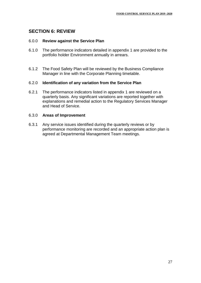## **SECTION 6: REVIEW**

#### 6.0.0 **Review against the Service Plan**

- 6.1.0 The performance indicators detailed in appendix 1 are provided to the portfolio holder Environment annually in arrears.
- 6.1.2 The Food Safety Plan will be reviewed by the Business Compliance Manager in line with the Corporate Planning timetable.

#### 6.2.0 **Identification of any variation from the Service Plan**

6.2.1 The performance indicators listed in appendix 1 are reviewed on a quarterly basis. Any significant variations are reported together with explanations and remedial action to the Regulatory Services Manager and Head of Service.

#### 6.3.0 **Areas of Improvement**

6.3.1 Any service issues identified during the quarterly reviews or by performance monitoring are recorded and an appropriate action plan is agreed at Departmental Management Team meetings.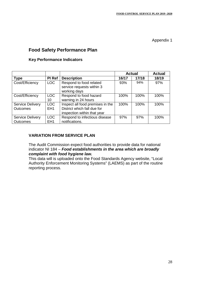## **Food Safety Performance Plan**

#### **Key Performance Indicators**

|                                            |                               |                                                                                                |       | <b>Actual</b> | <b>Actual</b> |
|--------------------------------------------|-------------------------------|------------------------------------------------------------------------------------------------|-------|---------------|---------------|
| <b>Type</b>                                | PI Ref                        | <b>Description</b>                                                                             | 16/17 | 17/18         | 18/19         |
| Cost/Efficiency                            | LOC                           | Respond to food related<br>service requests within 3<br>working days                           | 93%   | 94%           | 97%           |
| Cost/Efficiency                            | LOC<br>10                     | Respond to food hazard<br>warning in 24 hours                                                  | 100%  | 100%          | 100%          |
| <b>Service Delivery</b><br><b>Outcomes</b> | <b>LOC</b><br>EH <sub>1</sub> | Inspect all food premises in the<br>District which fall due for<br>inspection within that year | 100%  | 100%          | 100%          |
| <b>Service Delivery</b><br><b>Outcomes</b> | LOC<br>EH <sub>1</sub>        | Respond to infectious disease<br>notifications.                                                | 97%   | 97%           | 100%          |

#### **VARIATION FROM SERVICE PLAN**

The Audit Commission expect food authorities to provide data for national indicator NI 184 – *Food establishments in the area which are broadly complaint with food hygiene law.* 

This data will is uploaded onto the Food Standards Agency website, "Local Authority Enforcement Monitoring Systems" (LAEMS) as part of the routine reporting process.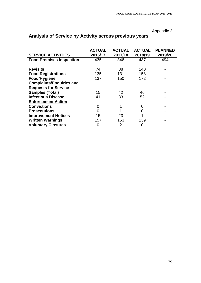|                                 | <b>ACTUAL</b> | <b>ACTUAL</b> | <b>ACTUAL</b> | <b>PLANNED</b> |
|---------------------------------|---------------|---------------|---------------|----------------|
| <b>SERVICE ACTIVITIES</b>       | 2016/17       | 2017/18       | 2018/19       | 2019/20        |
| <b>Food Premises Inspection</b> | 435           | 346           | 437           | 494            |
|                                 |               |               |               |                |
| <b>Revisits</b>                 | 74            | 88            | 140           |                |
| <b>Food Registrations</b>       | 135           | 131           | 158           |                |
| Food/Hygiene                    | 137           | 150           | 172           |                |
| <b>Complaints/Enquiries and</b> |               |               |               |                |
| <b>Requests for Service</b>     |               |               |               |                |
| <b>Samples (Total)</b>          | 15            | 42            | 46            |                |
| <b>Infectious Disease</b>       | 41            | 33            | 52            |                |
| <b>Enforcement Action</b>       |               |               |               |                |
| <b>Convictions</b>              | 0             |               | 0             |                |
| <b>Prosecutions</b>             |               |               |               |                |
| <b>Improvement Notices -</b>    | 15            | 23            |               |                |
| <b>Written Warnings</b>         | 157           | 153           | 139           |                |
| <b>Voluntary Closures</b>       | O             | 2             | O             |                |

## **Analysis of Service by Activity across previous years**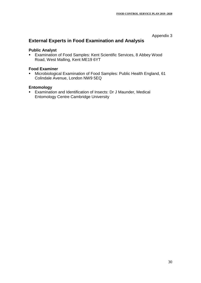## **External Experts in Food Examination and Analysis**

#### **Public Analyst**

 Examination of Food Samples: Kent Scientific Services, 8 Abbey Wood Road, West Malling, Kent ME19 6YT

#### **Food Examiner**

 Microbiological Examination of Food Samples: Public Health England, 61 Colindale Avenue, London NW9 5EQ

#### **Entomology**

 Examination and Identification of Insects: Dr J Maunder, Medical Entomology Centre Cambridge University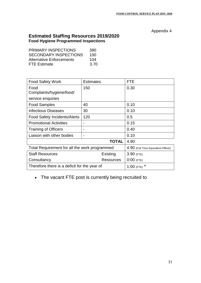## **Estimated Staffing Resources 2019/2020 Food Hygiene Programmed Inspections**

| <b>PRIMARY INSPECTIONS</b>      | 390  |
|---------------------------------|------|
| <b>SECONDARY INSPECTIONS</b>    | 100  |
| <b>Alternative Enforcements</b> | 104  |
| <b>FTE Estimate</b>             | 3.70 |

| <b>Food Safety Work</b>                       | <b>Estimates</b>                    | FTE          |
|-----------------------------------------------|-------------------------------------|--------------|
| Food                                          | 150                                 | 0.30         |
| Complaints/hygiene/food/                      |                                     |              |
| service enquiries                             |                                     |              |
| Food Samples                                  | 40                                  | 0.10         |
| <b>Infectious Diseases</b>                    | 30                                  | 0.10         |
| <b>Food Safety Incidents/Alerts</b>           | 120                                 | $0.5\,$      |
| <b>Promotional Activities</b>                 | $\blacksquare$                      | 0.15         |
| <b>Training of Officers</b>                   |                                     | 0.40         |
| Liaison with other bodies                     | $\blacksquare$                      | 0.10         |
|                                               | 4.90                                |              |
| Total Requirement for all the work programmed | 4.90 (Full Time Equivalent Officer) |              |
| <b>Staff Resources</b>                        | Existing                            | $3.90$ (FTE) |
| Consultancy                                   | Resources                           | $0:00$ (FTE) |
| Therefore there is a deficit for the year of  | 1:00 (FTE) $*$                      |              |

## The vacant FTE post is currently being recruited to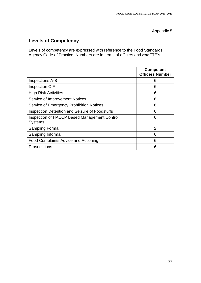## **Levels of Competency**

Levels of competency are expressed with reference to the Food Standards Agency Code of Practice. Numbers are in terms of officers and *not* FTE's

|                                                                | <b>Competent</b><br><b>Officers Number</b> |
|----------------------------------------------------------------|--------------------------------------------|
| <b>Inspections A-B</b>                                         | 6                                          |
| Inspection C-F                                                 | 6                                          |
| <b>High Risk Activities</b>                                    | 6                                          |
| Service of Improvement Notices                                 | 6                                          |
| <b>Service of Emergency Prohibition Notices</b>                | 6                                          |
| <b>Inspection Detention and Seizure of Foodstuffs</b>          | 6                                          |
| Inspection of HACCP Based Management Control<br><b>Systems</b> | 6                                          |
| <b>Sampling Formal</b>                                         | $\overline{2}$                             |
| Sampling Informal                                              | 6                                          |
| Food Complaints Advice and Actioning                           | 6                                          |
| <b>Prosecutions</b>                                            | 6                                          |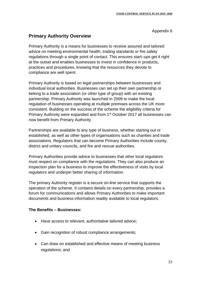## **Primary Authority Overview**

Primary Authority is a means for businesses to receive assured and tailored advice on meeting environmental health, trading standards or fire safety regulations through a single point of contact. This ensures start–ups get it right at the outset and enables businesses to invest in confidence in products, practices and procedures, knowing that the resources they devote to compliance are well spent.

Primary Authority is based on legal partnerships between businesses and individual local authorities. Businesses can set up their own partnership or belong to a trade association (or other type of group) with an existing partnership. Primary Authority was launched in 2009 to make the local regulation of businesses operating at multiple premises across the UK more consistent. Building on the success of the scheme the eligibility criteria for Primary Authority were expanded and from 1<sup>st</sup> October 2017 all businesses can now benefit from Primary Authority.

Partnerships are available to any type of business, whether starting out or established, as well as other types of organisations such as charities and trade associations. Regulators that can become Primary Authorities include county, district and unitary councils, and fire and rescue authorities.

Primary Authorities provide advice to businesses that other local regulators must respect on compliance with the regulations. They can also produce an inspection plan for a business to improve the effectiveness of visits by local regulators and underpin better sharing of information.

The primary Authority register is a secure on-line service that supports the operation of the scheme. It contains details on every partnership, provides a forum for communications and allows Primary Authorities to make important documents and business information readily available to local regulators.

#### **The Benefits – Businesses:**

- Have access to relevant, authoritative tailored advice;
- Gain recognition of robust compliance arrangements;
- Can draw on established and effective means of meeting business regulations; and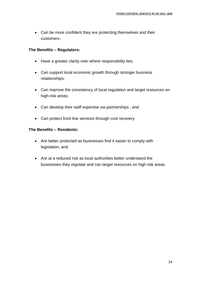• Can be more confident they are protecting themselves and their customers.

#### **The Benefits – Regulators:**

- Have a greater clarity over where responsibility lies;
- Can support local economic growth through stronger business relationships;
- Can improve the consistency of local regulation and target resources on high-risk areas;
- Can develop their staff expertise via partnerships ; and
- Can protect front line services through cost recovery

#### **The Benefits – Residents:**

- Are better protected as businesses find it easier to comply with legislation; and
- Are at a reduced risk as local authorities better understand the businesses they regulate and can target resources on high risk areas.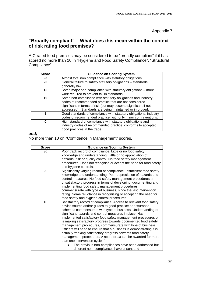## **"Broadly compliant" – What does this mean within the context of risk rating food premises?**

A C-rated food premises may be considered to be "broadly compliant" if it has scored no more than 10 in "Hygiene and Food Safety Compliance", "Structural Compliance"

| <b>Score</b> | <b>Guidance on Scoring System</b>                                                                                                                                                                                                                  |
|--------------|----------------------------------------------------------------------------------------------------------------------------------------------------------------------------------------------------------------------------------------------------|
| 25           | Almost total non compliance with statutory obligations.                                                                                                                                                                                            |
| 20           | General failure to satisfy statutory obligations - standards<br>generally low                                                                                                                                                                      |
| 15           | Some major non-compliance with statutory obligations – more<br>work required to prevent fall in standards.                                                                                                                                         |
| 10           | Some non-compliance with statutory obligations and industry<br>codes of recommended practice that are not considered<br>significant in terms of risk (but may become significant if not<br>addressed). Standards are being maintained or improved. |
| 5            | Good standards of compliance with statutory obligations, industry<br>codes of recommended practice, with only minor contraventions.                                                                                                                |
| 0            | High standard of compliance with statutory obligations and<br>industry codes of recommended practice; conforms to accepted<br>good practices in the trade.                                                                                         |

#### *and;*

No more than 10 on "Confidence in Management" scores.

| <b>Score</b> | <b>Guidance on Scoring System</b>                                                                                                                                                                                                                                                                                                                                                                                                                                                                                                                                                                                                                                                                                                                                                                         |
|--------------|-----------------------------------------------------------------------------------------------------------------------------------------------------------------------------------------------------------------------------------------------------------------------------------------------------------------------------------------------------------------------------------------------------------------------------------------------------------------------------------------------------------------------------------------------------------------------------------------------------------------------------------------------------------------------------------------------------------------------------------------------------------------------------------------------------------|
| 30           | Poor track record of compliance. Little or no food safety<br>knowledge and understanding. Little or no appreciation of<br>hazards, risk or quality control. No food safety management<br>procedures. Does not recognise or accept the need for food safety<br>and hygiene controls.                                                                                                                                                                                                                                                                                                                                                                                                                                                                                                                       |
| 20           | Significantly varying record of compliance. Insufficient food safety<br>knowledge and understanding. Poor appreciation of hazards and<br>control measures. No food safety management procedures or<br>unsatisfactory progress in terms of developing, documenting and<br>implementing food safety management procedures,<br>commensurate with type of business, since the last intervention<br>rating. Some reluctance in recognising or accepting the need for<br>food safety and hygiene control procedures.                                                                                                                                                                                                                                                                                            |
| 10           | Satisfactory record of compliance. Access to relevant food safety<br>advice source and/or guides to good practice or assurance<br>schemes commensurate with type of business. Understanding of<br>significant hazards and control measures in place. Has<br>implemented satisfactory food safety management procedures or<br>is making satisfactory progress towards documented food safety<br>management procedures, commensurate with type of business.<br>Officers will need to ensure that a business is demonstrating it is<br>actually 'making satisfactory progress' towards food safety<br>management procedures. A score of 10 can be awarded for more<br>than one intervention cycle if:<br>The previous non-compliances have been addressed but<br>different non- compliances have arisen: and |